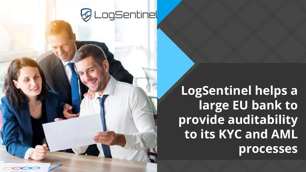

**LogSentinel helps a large EU bank to provide auditability to its KYC and AML processes**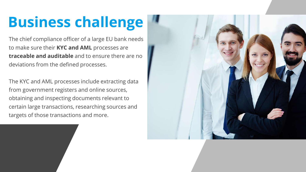## **Business challenge**

The chief compliance officer of a large EU bank needs to make sure their **KYC and AML** processes are **traceable and auditable** and to ensure there are no deviations from the defined processes.

The KYC and AML processes include extracting data from government registers and online sources, obtaining and inspecting documents relevant to certain large transactions, researching sources and targets of those transactions and more.

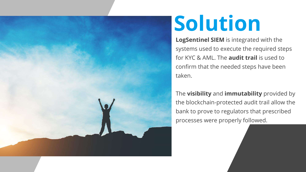

# **Solution**

**LogSentinel SIEM** is integrated with the systems used to execute the required steps for KYC & AML. The **audit trail** is used to confirm that the needed steps have been taken.

The **visibility** and **immutability** provided by the blockchain-protected audit trail allow the bank to prove to regulators that prescribed processes were properly followed.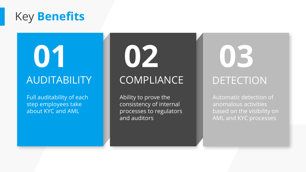### Key **Benefits**

**01**

### AUDITABILITY

Full auditability of each step employees take about KYC and AML

### **COMPLIANCE**

**02**

Ability to prove the consistency of internal processes to regulators and auditors

## **03** DETECTION

Automatic detection of anomalous activities based on the visibility on AML and KYC processes